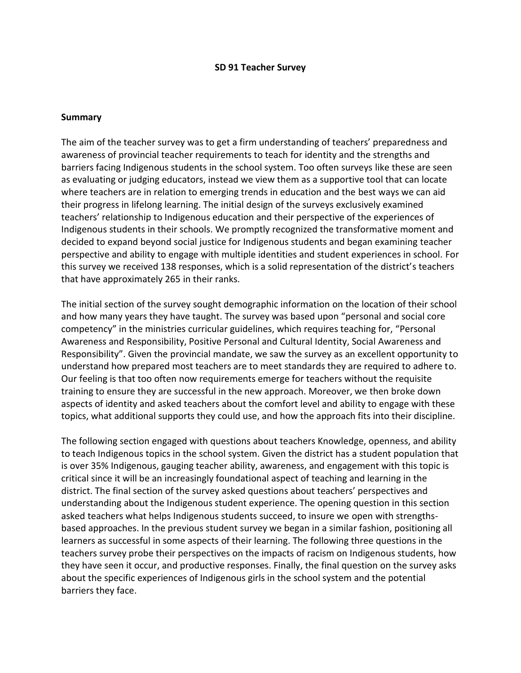### **SD 91 Teacher Survey**

#### **Summary**

The aim of the teacher survey was to get a firm understanding of teachers' preparedness and awareness of provincial teacher requirements to teach for identity and the strengths and barriers facing Indigenous students in the school system. Too often surveys like these are seen as evaluating or judging educators, instead we view them as a supportive tool that can locate where teachers are in relation to emerging trends in education and the best ways we can aid their progress in lifelong learning. The initial design of the surveys exclusively examined teachers' relationship to Indigenous education and their perspective of the experiences of Indigenous students in their schools. We promptly recognized the transformative moment and decided to expand beyond social justice for Indigenous students and began examining teacher perspective and ability to engage with multiple identities and student experiences in school. For this survey we received 138 responses, which is a solid representation of the district's teachers that have approximately 265 in their ranks.

The initial section of the survey sought demographic information on the location of their school and how many years they have taught. The survey was based upon "personal and social core competency" in the ministries curricular guidelines, which requires teaching for, "Personal Awareness and Responsibility, Positive Personal and Cultural Identity, Social Awareness and Responsibility". Given the provincial mandate, we saw the survey as an excellent opportunity to understand how prepared most teachers are to meet standards they are required to adhere to. Our feeling is that too often now requirements emerge for teachers without the requisite training to ensure they are successful in the new approach. Moreover, we then broke down aspects of identity and asked teachers about the comfort level and ability to engage with these topics, what additional supports they could use, and how the approach fits into their discipline.

The following section engaged with questions about teachers Knowledge, openness, and ability to teach Indigenous topics in the school system. Given the district has a student population that is over 35% Indigenous, gauging teacher ability, awareness, and engagement with this topic is critical since it will be an increasingly foundational aspect of teaching and learning in the district. The final section of the survey asked questions about teachers' perspectives and understanding about the Indigenous student experience. The opening question in this section asked teachers what helps Indigenous students succeed, to insure we open with strengthsbased approaches. In the previous student survey we began in a similar fashion, positioning all learners as successful in some aspects of their learning. The following three questions in the teachers survey probe their perspectives on the impacts of racism on Indigenous students, how they have seen it occur, and productive responses. Finally, the final question on the survey asks about the specific experiences of Indigenous girls in the school system and the potential barriers they face.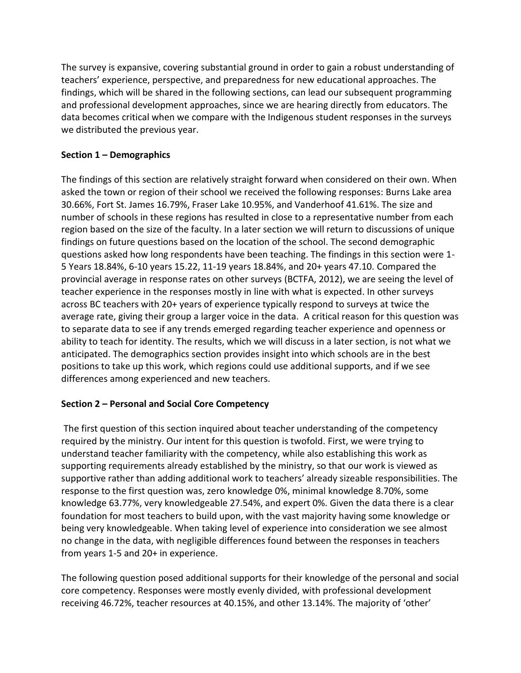The survey is expansive, covering substantial ground in order to gain a robust understanding of teachers' experience, perspective, and preparedness for new educational approaches. The findings, which will be shared in the following sections, can lead our subsequent programming and professional development approaches, since we are hearing directly from educators. The data becomes critical when we compare with the Indigenous student responses in the surveys we distributed the previous year.

## **Section 1 – Demographics**

The findings of this section are relatively straight forward when considered on their own. When asked the town or region of their school we received the following responses: Burns Lake area 30.66%, Fort St. James 16.79%, Fraser Lake 10.95%, and Vanderhoof 41.61%. The size and number of schools in these regions has resulted in close to a representative number from each region based on the size of the faculty. In a later section we will return to discussions of unique findings on future questions based on the location of the school. The second demographic questions asked how long respondents have been teaching. The findings in this section were 1- 5 Years 18.84%, 6-10 years 15.22, 11-19 years 18.84%, and 20+ years 47.10. Compared the provincial average in response rates on other surveys (BCTFA, 2012), we are seeing the level of teacher experience in the responses mostly in line with what is expected. In other surveys across BC teachers with 20+ years of experience typically respond to surveys at twice the average rate, giving their group a larger voice in the data. A critical reason for this question was to separate data to see if any trends emerged regarding teacher experience and openness or ability to teach for identity. The results, which we will discuss in a later section, is not what we anticipated. The demographics section provides insight into which schools are in the best positions to take up this work, which regions could use additional supports, and if we see differences among experienced and new teachers.

# **Section 2 – Personal and Social Core Competency**

The first question of this section inquired about teacher understanding of the competency required by the ministry. Our intent for this question is twofold. First, we were trying to understand teacher familiarity with the competency, while also establishing this work as supporting requirements already established by the ministry, so that our work is viewed as supportive rather than adding additional work to teachers' already sizeable responsibilities. The response to the first question was, zero knowledge 0%, minimal knowledge 8.70%, some knowledge 63.77%, very knowledgeable 27.54%, and expert 0%. Given the data there is a clear foundation for most teachers to build upon, with the vast majority having some knowledge or being very knowledgeable. When taking level of experience into consideration we see almost no change in the data, with negligible differences found between the responses in teachers from years 1-5 and 20+ in experience.

The following question posed additional supports for their knowledge of the personal and social core competency. Responses were mostly evenly divided, with professional development receiving 46.72%, teacher resources at 40.15%, and other 13.14%. The majority of 'other'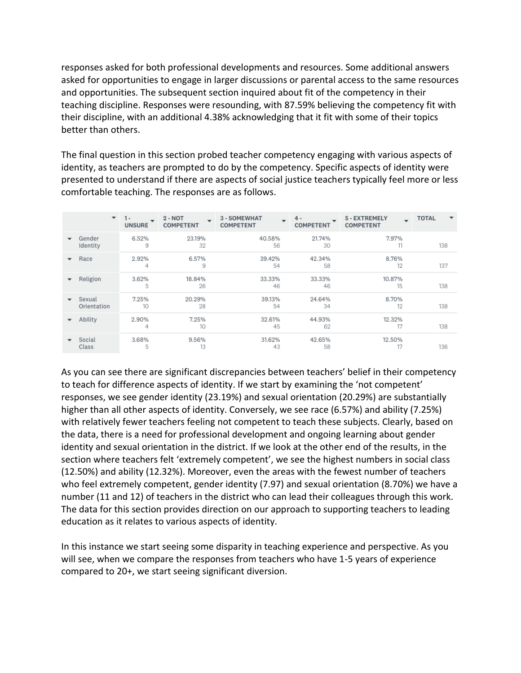responses asked for both professional developments and resources. Some additional answers asked for opportunities to engage in larger discussions or parental access to the same resources and opportunities. The subsequent section inquired about fit of the competency in their teaching discipline. Responses were resounding, with 87.59% believing the competency fit with their discipline, with an additional 4.38% acknowledging that it fit with some of their topics better than others.

The final question in this section probed teacher competency engaging with various aspects of identity, as teachers are prompted to do by the competency. Specific aspects of identity were presented to understand if there are aspects of social justice teachers typically feel more or less comfortable teaching. The responses are as follows.

|                          | $\overline{\phantom{a}}$ | $1 -$<br>-<br><b>UNSURE</b> | $2 - NOT$<br>$\overline{\phantom{a}}$<br><b>COMPETENT</b> | 3 - SOMEWHAT<br>$\overline{\phantom{0}}$<br><b>COMPETENT</b> | $4 -$<br><b>COMPETENT</b> | 5 - EXTREMELY<br>$\overline{\phantom{0}}$<br><b>COMPETENT</b> | <b>TOTAL</b><br>$\overline{\phantom{a}}$ |
|--------------------------|--------------------------|-----------------------------|-----------------------------------------------------------|--------------------------------------------------------------|---------------------------|---------------------------------------------------------------|------------------------------------------|
| $\overline{\phantom{a}}$ | Gender<br>Identity       | 6.52%<br>9                  | 23.19%<br>32                                              | 40.58%<br>56                                                 | 21.74%<br>30              | 7.97%<br>11                                                   | 138                                      |
| $\overline{\phantom{a}}$ | Race                     | 2.92%<br>4                  | 6.57%<br>9                                                | 39.42%<br>54                                                 | 42.34%<br>58              | 8.76%<br>12                                                   | 137                                      |
|                          | Religion                 | 3.62%<br>5                  | 18.84%<br>26                                              | 33.33%<br>46                                                 | 33.33%<br>46              | 10.87%<br>15                                                  | 138                                      |
| $\overline{\phantom{a}}$ | Sexual<br>Orientation    | 7.25%<br>10                 | 20.29%<br>28                                              | 39.13%<br>54                                                 | 24.64%<br>34              | 8.70%<br>12                                                   | 138                                      |
| ▼                        | Ability                  | 2.90%<br>4                  | 7.25%<br>10                                               | 32.61%<br>45                                                 | 44.93%<br>62              | 12.32%<br>17                                                  | 138                                      |
| $\overline{\phantom{a}}$ | Social<br>Class          | 3.68%<br>5                  | 9.56%<br>13                                               | 31.62%<br>43                                                 | 42.65%<br>58              | 12.50%                                                        | 136                                      |

As you can see there are significant discrepancies between teachers' belief in their competency to teach for difference aspects of identity. If we start by examining the 'not competent' responses, we see gender identity (23.19%) and sexual orientation (20.29%) are substantially higher than all other aspects of identity. Conversely, we see race (6.57%) and ability (7.25%) with relatively fewer teachers feeling not competent to teach these subjects. Clearly, based on the data, there is a need for professional development and ongoing learning about gender identity and sexual orientation in the district. If we look at the other end of the results, in the section where teachers felt 'extremely competent', we see the highest numbers in social class (12.50%) and ability (12.32%). Moreover, even the areas with the fewest number of teachers who feel extremely competent, gender identity (7.97) and sexual orientation (8.70%) we have a number (11 and 12) of teachers in the district who can lead their colleagues through this work. The data for this section provides direction on our approach to supporting teachers to leading education as it relates to various aspects of identity.

In this instance we start seeing some disparity in teaching experience and perspective. As you will see, when we compare the responses from teachers who have 1-5 years of experience compared to 20+, we start seeing significant diversion.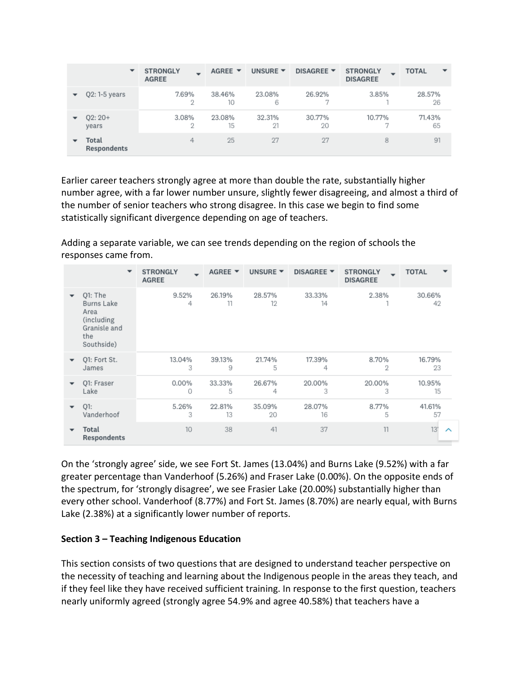|                          | $\overline{\phantom{a}}$    | <b>STRONGLY</b><br><b>AGREE</b> | AGREE $\blacktriangledown$ | UNSURE $\blacktriangledown$ | DISAGREE ▼   | <b>STRONGLY</b><br><b>DISAGREE</b> | <b>TOTAL</b><br>$\overline{\phantom{a}}$ |
|--------------------------|-----------------------------|---------------------------------|----------------------------|-----------------------------|--------------|------------------------------------|------------------------------------------|
|                          | $Q2: 1-5$ years             | 7.69%<br>2                      | 38.46%<br>10               | 23.08%<br>6                 | 26.92%       | 3.85%                              | 28.57%<br>26                             |
| ▼                        | $O2:20+$<br>years           | 3.08%<br>2                      | 23.08%<br>15               | 32.31%<br>21                | 30.77%<br>20 | 10.77%                             | 71.43%<br>65                             |
| $\overline{\phantom{a}}$ | Total<br><b>Respondents</b> | 4                               | 25                         | 27                          | 27           | 8                                  | 91                                       |

Earlier career teachers strongly agree at more than double the rate, substantially higher number agree, with a far lower number unsure, slightly fewer disagreeing, and almost a third of the number of senior teachers who strong disagree. In this case we begin to find some statistically significant divergence depending on age of teachers.

Adding a separate variable, we can see trends depending on the region of schools the responses came from.

|                          | $\overline{\phantom{a}}$                                                                | <b>STRONGLY</b><br><b>AGREE</b> | AGREE $\blacktriangledown$ | UNSURE $\blacktriangledown$ | DISAGREE ▼   | <b>STRONGLY</b><br><b>DISAGREE</b> | <b>TOTAL</b>  |
|--------------------------|-----------------------------------------------------------------------------------------|---------------------------------|----------------------------|-----------------------------|--------------|------------------------------------|---------------|
|                          | O1: The<br><b>Burns Lake</b><br>Area<br>(including<br>Granisle and<br>the<br>Southside) | 9.52%<br>4                      | 26.19%<br>11               | 28.57%<br>12                | 33.33%<br>14 | 2.38%                              | 30.66%<br>42  |
|                          | Q1: Fort St.                                                                            | 13.04%                          | 39.13%                     | 21.74%                      | 17.39%       | 8.70%                              | 16.79%        |
|                          | James                                                                                   | 3                               | 9                          | 5                           | 4            | 2                                  | 23            |
|                          | O1: Fraser                                                                              | $0.00\%$                        | 33.33%                     | 26.67%                      | 20.00%       | 20.00%                             | 10.95%        |
|                          | Lake                                                                                    | 0                               | 5                          | 4                           | 3            | 3                                  | 15            |
|                          | $Q1$ :                                                                                  | 5.26%                           | 22.81%                     | 35.09%                      | 28.07%       | 8.77%                              | 41.61%        |
|                          | Vanderhoof                                                                              | 3                               | 13                         | 20                          | 16           | 5                                  | 57            |
| $\overline{\phantom{a}}$ | Total<br>Respondents                                                                    | 10                              | 38                         | 41                          | 37           | 11                                 | 13'<br>$\sim$ |

On the 'strongly agree' side, we see Fort St. James (13.04%) and Burns Lake (9.52%) with a far greater percentage than Vanderhoof (5.26%) and Fraser Lake (0.00%). On the opposite ends of the spectrum, for 'strongly disagree', we see Frasier Lake (20.00%) substantially higher than every other school. Vanderhoof (8.77%) and Fort St. James (8.70%) are nearly equal, with Burns Lake (2.38%) at a significantly lower number of reports.

### **Section 3 – Teaching Indigenous Education**

This section consists of two questions that are designed to understand teacher perspective on the necessity of teaching and learning about the Indigenous people in the areas they teach, and if they feel like they have received sufficient training. In response to the first question, teachers nearly uniformly agreed (strongly agree 54.9% and agree 40.58%) that teachers have a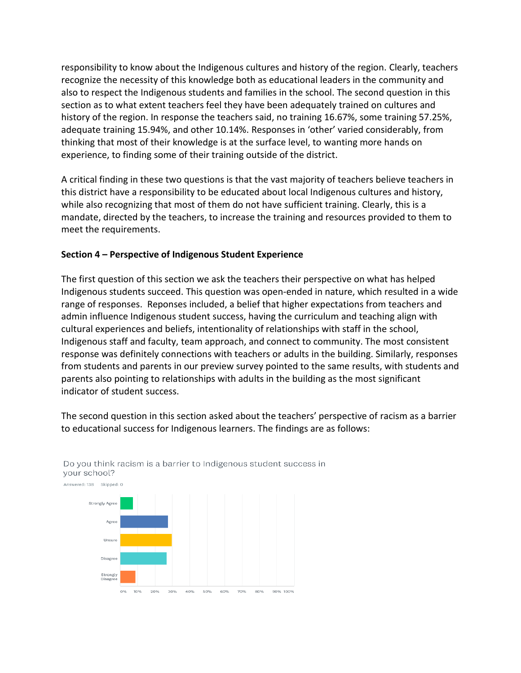responsibility to know about the Indigenous cultures and history of the region. Clearly, teachers recognize the necessity of this knowledge both as educational leaders in the community and also to respect the Indigenous students and families in the school. The second question in this section as to what extent teachers feel they have been adequately trained on cultures and history of the region. In response the teachers said, no training 16.67%, some training 57.25%, adequate training 15.94%, and other 10.14%. Responses in 'other' varied considerably, from thinking that most of their knowledge is at the surface level, to wanting more hands on experience, to finding some of their training outside of the district.

A critical finding in these two questions is that the vast majority of teachers believe teachers in this district have a responsibility to be educated about local Indigenous cultures and history, while also recognizing that most of them do not have sufficient training. Clearly, this is a mandate, directed by the teachers, to increase the training and resources provided to them to meet the requirements.

### **Section 4 – Perspective of Indigenous Student Experience**

The first question of this section we ask the teachers their perspective on what has helped Indigenous students succeed. This question was open-ended in nature, which resulted in a wide range of responses. Reponses included, a belief that higher expectations from teachers and admin influence Indigenous student success, having the curriculum and teaching align with cultural experiences and beliefs, intentionality of relationships with staff in the school, Indigenous staff and faculty, team approach, and connect to community. The most consistent response was definitely connections with teachers or adults in the building. Similarly, responses from students and parents in our preview survey pointed to the same results, with students and parents also pointing to relationships with adults in the building as the most significant indicator of student success.

The second question in this section asked about the teachers' perspective of racism as a barrier to educational success for Indigenous learners. The findings are as follows:



### Do you think racism is a barrier to Indigenous student success in your school?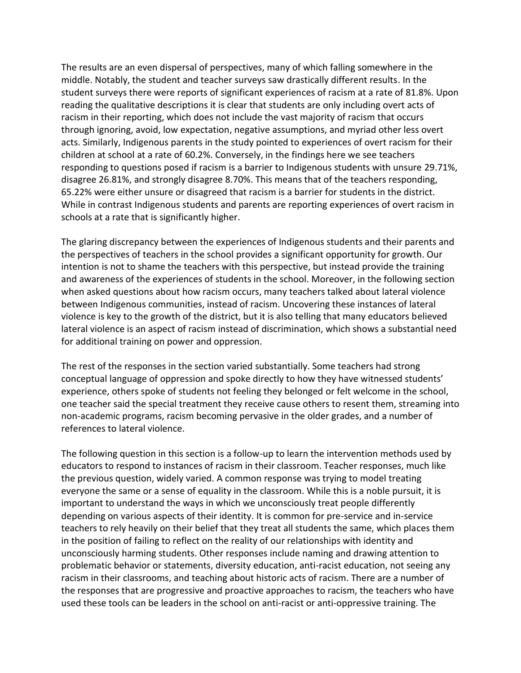The results are an even dispersal of perspectives, many of which falling somewhere in the middle. Notably, the student and teacher surveys saw drastically different results. In the student surveys there were reports of significant experiences of racism at a rate of 81.8%. Upon reading the qualitative descriptions it is clear that students are only including overt acts of racism in their reporting, which does not include the vast majority of racism that occurs through ignoring, avoid, low expectation, negative assumptions, and myriad other less overt acts. Similarly, Indigenous parents in the study pointed to experiences of overt racism for their children at school at a rate of 60.2%. Conversely, in the findings here we see teachers responding to questions posed if racism is a barrier to Indigenous students with unsure 29.71%, disagree 26.81%, and strongly disagree 8.70%. This means that of the teachers responding, 65.22% were either unsure or disagreed that racism is a barrier for students in the district. While in contrast Indigenous students and parents are reporting experiences of overt racism in schools at a rate that is significantly higher.

The glaring discrepancy between the experiences of Indigenous students and their parents and the perspectives of teachers in the school provides a significant opportunity for growth. Our intention is not to shame the teachers with this perspective, but instead provide the training and awareness of the experiences of students in the school. Moreover, in the following section when asked questions about how racism occurs, many teachers talked about lateral violence between Indigenous communities, instead of racism. Uncovering these instances of lateral violence is key to the growth of the district, but it is also telling that many educators believed lateral violence is an aspect of racism instead of discrimination, which shows a substantial need for additional training on power and oppression.

The rest of the responses in the section varied substantially. Some teachers had strong conceptual language of oppression and spoke directly to how they have witnessed students' experience, others spoke of students not feeling they belonged or felt welcome in the school, one teacher said the special treatment they receive cause others to resent them, streaming into non-academic programs, racism becoming pervasive in the older grades, and a number of references to lateral violence.

The following question in this section is a follow-up to learn the intervention methods used by educators to respond to instances of racism in their classroom. Teacher responses, much like the previous question, widely varied. A common response was trying to model treating everyone the same or a sense of equality in the classroom. While this is a noble pursuit, it is important to understand the ways in which we unconsciously treat people differently depending on various aspects of their identity. It is common for pre-service and in-service teachers to rely heavily on their belief that they treat all students the same, which places them in the position of failing to reflect on the reality of our relationships with identity and unconsciously harming students. Other responses include naming and drawing attention to problematic behavior or statements, diversity education, anti-racist education, not seeing any racism in their classrooms, and teaching about historic acts of racism. There are a number of the responses that are progressive and proactive approaches to racism, the teachers who have used these tools can be leaders in the school on anti-racist or anti-oppressive training. The